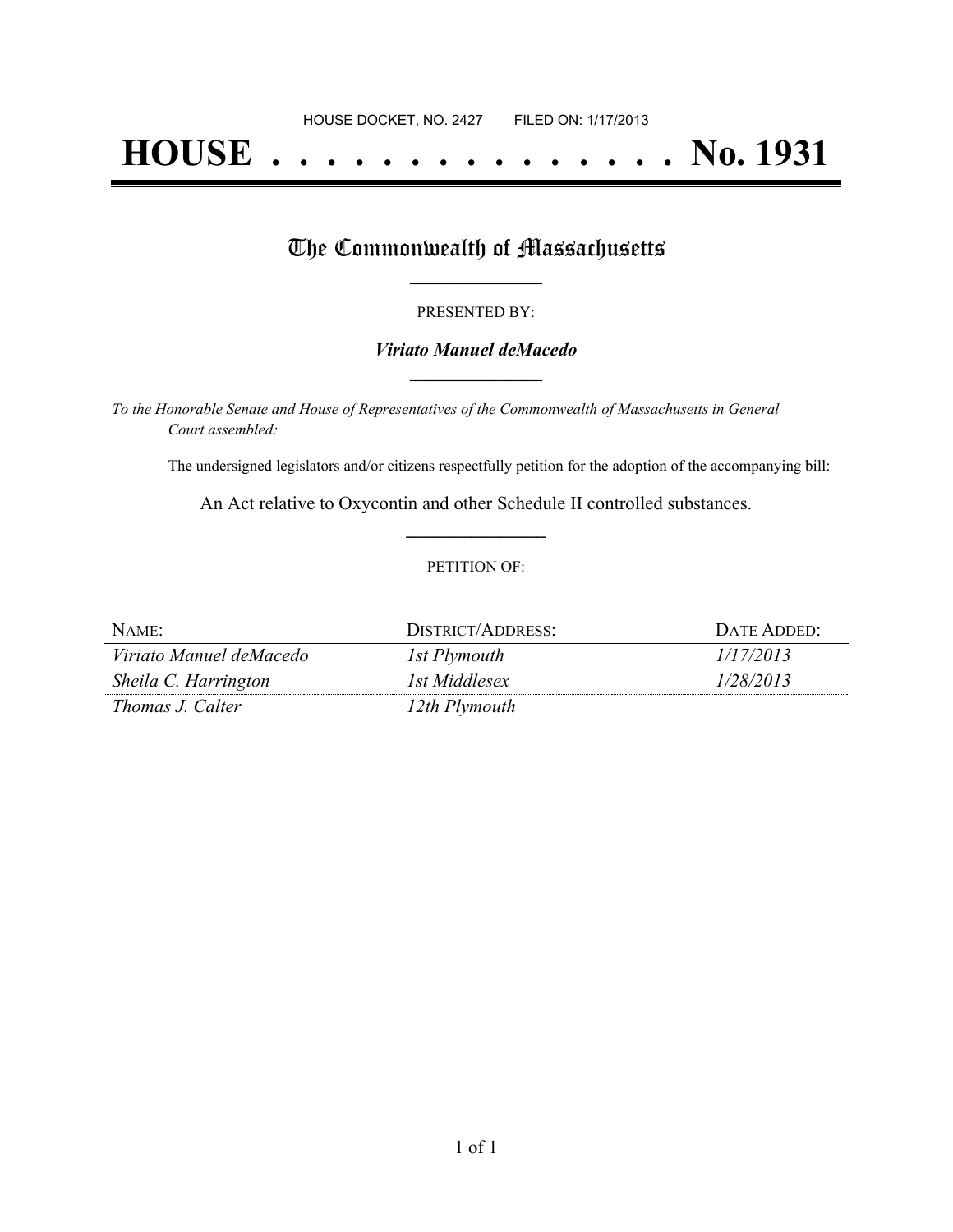# **HOUSE . . . . . . . . . . . . . . . No. 1931**

## The Commonwealth of Massachusetts

#### PRESENTED BY:

#### *Viriato Manuel deMacedo* **\_\_\_\_\_\_\_\_\_\_\_\_\_\_\_\_\_**

*To the Honorable Senate and House of Representatives of the Commonwealth of Massachusetts in General Court assembled:*

The undersigned legislators and/or citizens respectfully petition for the adoption of the accompanying bill:

An Act relative to Oxycontin and other Schedule II controlled substances. **\_\_\_\_\_\_\_\_\_\_\_\_\_\_\_**

#### PETITION OF:

| NAME:                   | DISTRICT/ADDRESS: | DATE ADDED: |
|-------------------------|-------------------|-------------|
| Viriato Manuel deMacedo | 1st Plymouth      | 1/17/2013   |
| Sheila C. Harrington    | 1st Middlesex     | 1/28/2013   |
| Thomas J. Calter        | 12th Plymouth     |             |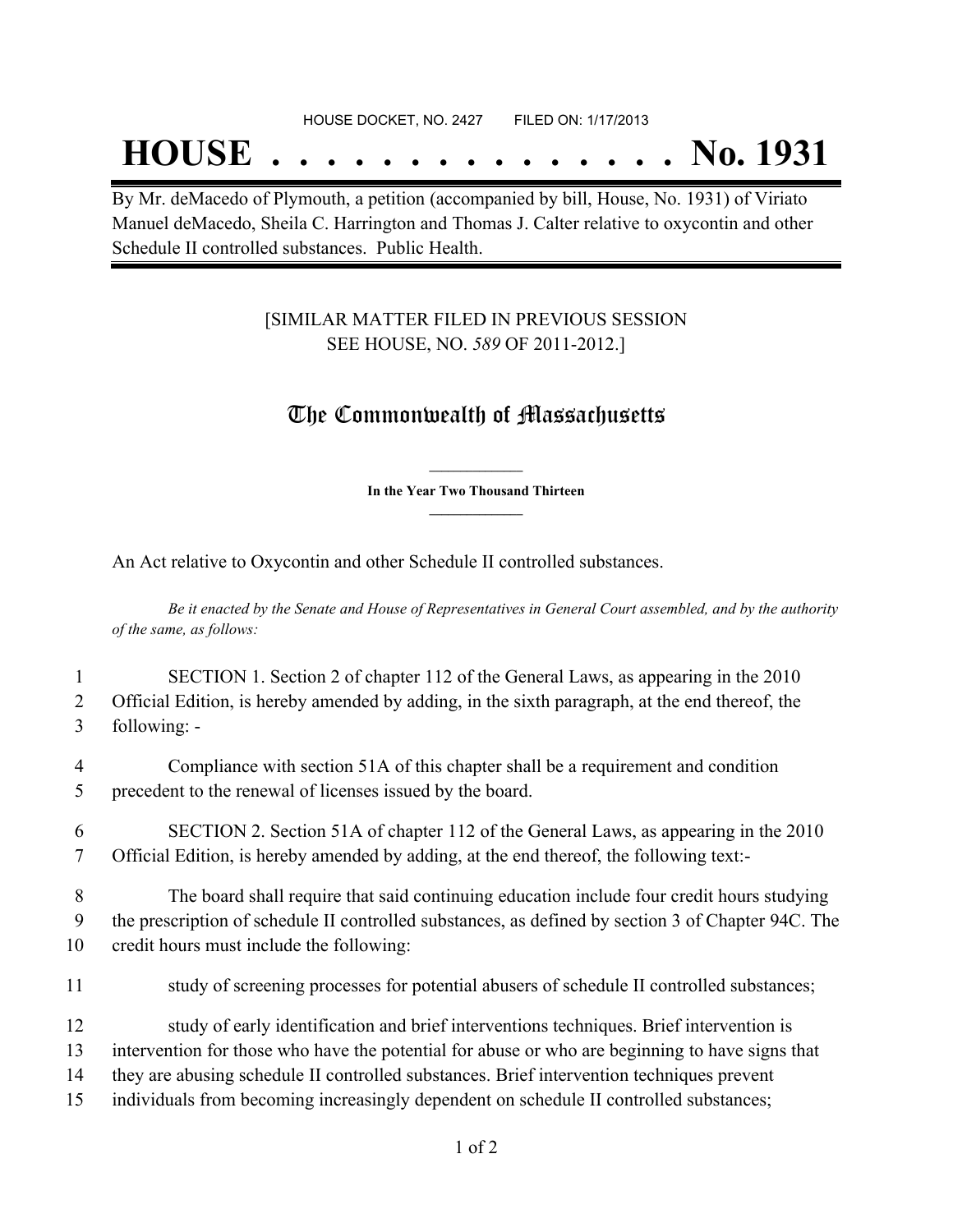#### HOUSE DOCKET, NO. 2427 FILED ON: 1/17/2013

## **HOUSE . . . . . . . . . . . . . . . No. 1931**

By Mr. deMacedo of Plymouth, a petition (accompanied by bill, House, No. 1931) of Viriato Manuel deMacedo, Sheila C. Harrington and Thomas J. Calter relative to oxycontin and other Schedule II controlled substances. Public Health.

### [SIMILAR MATTER FILED IN PREVIOUS SESSION SEE HOUSE, NO. *589* OF 2011-2012.]

## The Commonwealth of Massachusetts

**\_\_\_\_\_\_\_\_\_\_\_\_\_\_\_ In the Year Two Thousand Thirteen \_\_\_\_\_\_\_\_\_\_\_\_\_\_\_**

An Act relative to Oxycontin and other Schedule II controlled substances.

Be it enacted by the Senate and House of Representatives in General Court assembled, and by the authority *of the same, as follows:*

| $\mathbf{1}$ | SECTION 1. Section 2 of chapter 112 of the General Laws, as appearing in the 2010                  |
|--------------|----------------------------------------------------------------------------------------------------|
| 2            | Official Edition, is hereby amended by adding, in the sixth paragraph, at the end thereof, the     |
| 3            | following: -                                                                                       |
| 4            | Compliance with section 51A of this chapter shall be a requirement and condition                   |
| 5            | precedent to the renewal of licenses issued by the board.                                          |
| 6            | SECTION 2. Section 51A of chapter 112 of the General Laws, as appearing in the 2010                |
| 7            | Official Edition, is hereby amended by adding, at the end thereof, the following text:-            |
| 8            | The board shall require that said continuing education include four credit hours studying          |
| 9            | the prescription of schedule II controlled substances, as defined by section 3 of Chapter 94C. The |
| 10           | credit hours must include the following:                                                           |
| 11           | study of screening processes for potential abusers of schedule II controlled substances;           |
| 12           | study of early identification and brief interventions techniques. Brief intervention is            |
| 13           | intervention for those who have the potential for abuse or who are beginning to have signs that    |
| 14           | they are abusing schedule II controlled substances. Brief intervention techniques prevent          |
| 15           | individuals from becoming increasingly dependent on schedule II controlled substances;             |